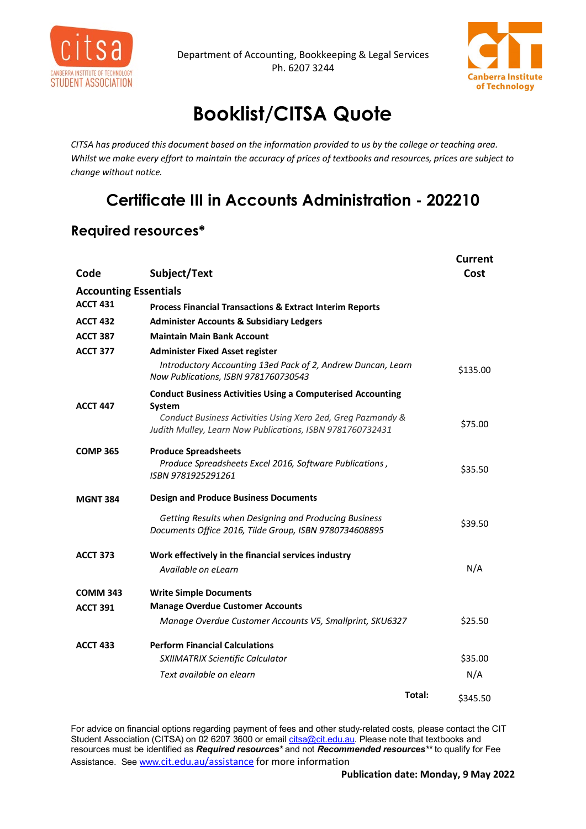

Department of Accounting, Bookkeeping & Legal Services Ph. 6207 3244



**Current** 

## **Booklist/CITSA Quote**

*CITSA has produced this document based on the information provided to us by the college or teaching area. Whilst we make every effort to maintain the accuracy of prices of textbooks and resources, prices are subject to change without notice.*

## **Certificate III in Accounts Administration - 202210**

## **Required resources\***

| Code                               | Subject/Text                                                                                                             | Cost     |
|------------------------------------|--------------------------------------------------------------------------------------------------------------------------|----------|
| <b>Accounting Essentials</b>       |                                                                                                                          |          |
| <b>ACCT 431</b>                    | <b>Process Financial Transactions &amp; Extract Interim Reports</b>                                                      |          |
| <b>ACCT 432</b>                    | <b>Administer Accounts &amp; Subsidiary Ledgers</b>                                                                      |          |
| <b>ACCT 387</b>                    | <b>Maintain Main Bank Account</b>                                                                                        |          |
| <b>ACCT 377</b><br><b>ACCT 447</b> | <b>Administer Fixed Asset register</b>                                                                                   |          |
|                                    | Introductory Accounting 13ed Pack of 2, Andrew Duncan, Learn<br>Now Publications, ISBN 9781760730543                     | \$135.00 |
|                                    | <b>Conduct Business Activities Using a Computerised Accounting</b><br>System                                             |          |
|                                    | Conduct Business Activities Using Xero 2ed, Greg Pazmandy &<br>Judith Mulley, Learn Now Publications, ISBN 9781760732431 | \$75.00  |
| <b>COMP 365</b>                    | <b>Produce Spreadsheets</b>                                                                                              |          |
|                                    | Produce Spreadsheets Excel 2016, Software Publications,<br>ISBN 9781925291261                                            | \$35.50  |
| <b>MGNT 384</b>                    | <b>Design and Produce Business Documents</b>                                                                             |          |
|                                    | Getting Results when Designing and Producing Business<br>Documents Office 2016, Tilde Group, ISBN 9780734608895          | \$39.50  |
| <b>ACCT 373</b>                    | Work effectively in the financial services industry                                                                      |          |
|                                    | Available on eLearn                                                                                                      | N/A      |
| <b>COMM 343</b>                    | <b>Write Simple Documents</b>                                                                                            |          |
| <b>ACCT 391</b>                    | <b>Manage Overdue Customer Accounts</b>                                                                                  |          |
|                                    | Manage Overdue Customer Accounts V5, Smallprint, SKU6327                                                                 | \$25.50  |
| <b>ACCT 433</b>                    | <b>Perform Financial Calculations</b>                                                                                    |          |
|                                    | SXIIMATRIX Scientific Calculator                                                                                         | \$35.00  |
|                                    | Text available on elearn                                                                                                 | N/A      |
|                                    | Total:                                                                                                                   | \$345.50 |

For advice on financial options regarding payment of fees and other study-related costs, please contact the CIT Student Association (CITSA) on 02 6207 3600 or email <u>citsa@cit.edu.au</u>. Please note that textbooks and resources must be identified as *Required resources\** and not *Recommended resources\*\** to qualify for Fee Assistance. Se[e www.](http://www.cit.edu.au/assistance)[cit.edu.au/assistance](http://www.cit.edu.au/assistance) for more information